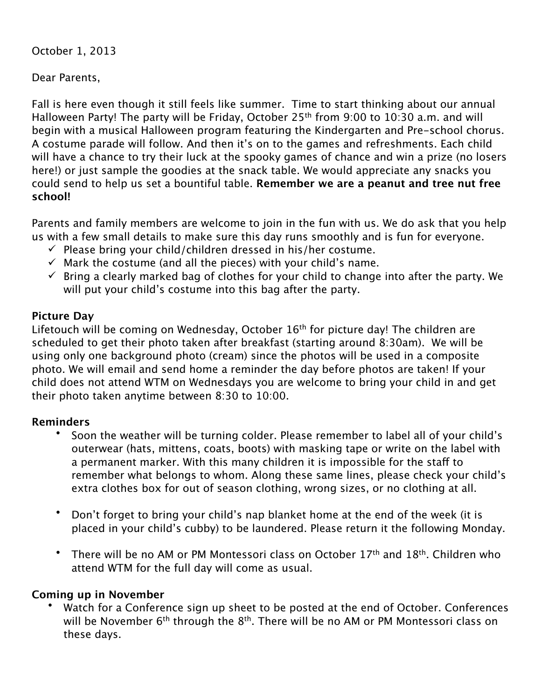October 1, 2013

Dear Parents,

Fall is here even though it still feels like summer. Time to start thinking about our annual Halloween Party! The party will be Friday, October 25<sup>th</sup> from 9:00 to 10:30 a.m. and will begin with a musical Halloween program featuring the Kindergarten and Pre-school chorus. A costume parade will follow. And then it's on to the games and refreshments. Each child will have a chance to try their luck at the spooky games of chance and win a prize (no losers here!) or just sample the goodies at the snack table. We would appreciate any snacks you could send to help us set a bountiful table. **Remember we are a peanut and tree nut free school!**

Parents and family members are welcome to join in the fun with us. We do ask that you help us with a few small details to make sure this day runs smoothly and is fun for everyone.

- $\checkmark$  Please bring your child/children dressed in his/her costume.
- $\checkmark$  Mark the costume (and all the pieces) with your child's name.
- $\checkmark$  Bring a clearly marked bag of clothes for your child to change into after the party. We will put your child's costume into this bag after the party.

## **Picture Day**

Lifetouch will be coming on Wednesday, October 16<sup>th</sup> for picture day! The children are scheduled to get their photo taken after breakfast (starting around 8:30am). We will be using only one background photo (cream) since the photos will be used in a composite photo. We will email and send home a reminder the day before photos are taken! If your child does not attend WTM on Wednesdays you are welcome to bring your child in and get their photo taken anytime between 8:30 to 10:00.

## **Reminders**

- Soon the weather will be turning colder. Please remember to label all of your child's outerwear (hats, mittens, coats, boots) with masking tape or write on the label with a permanent marker. With this many children it is impossible for the staff to remember what belongs to whom. Along these same lines, please check your child's extra clothes box for out of season clothing, wrong sizes, or no clothing at all.
- Don't forget to bring your child's nap blanket home at the end of the week (it is placed in your child's cubby) to be laundered. Please return it the following Monday.
- There will be no AM or PM Montessori class on October  $17<sup>th</sup>$  and  $18<sup>th</sup>$ . Children who attend WTM for the full day will come as usual.

## **Coming up in November**

Watch for a Conference sign up sheet to be posted at the end of October. Conferences will be November 6<sup>th</sup> through the 8<sup>th</sup>. There will be no AM or PM Montessori class on these days.